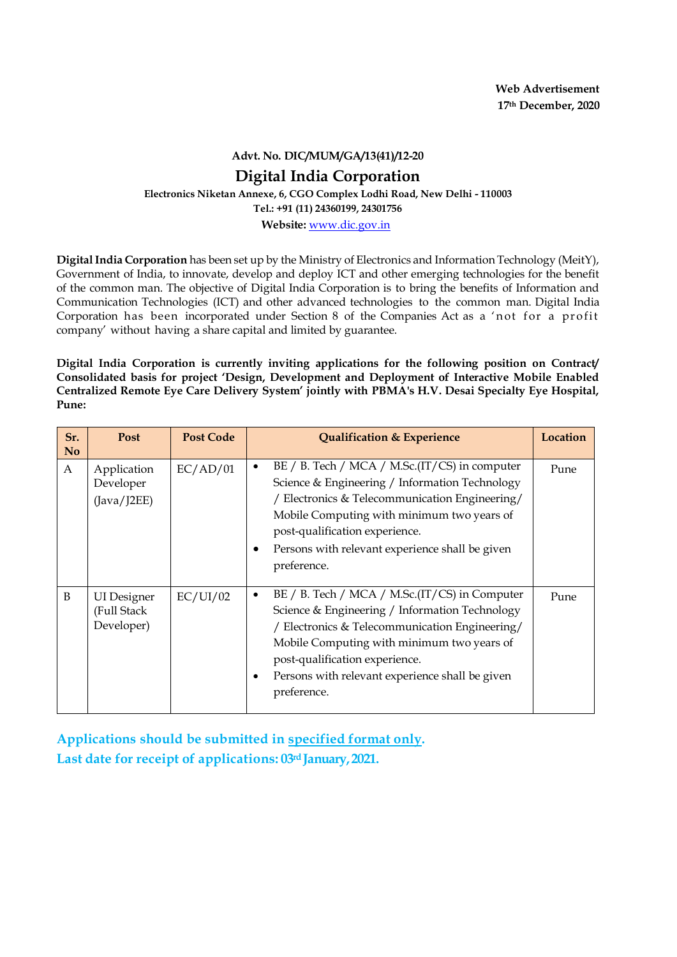**Advt. No. DIC/MUM/GA/13(41)/12-20**

## **Digital India Corporation**

**Electronics Niketan Annexe, 6, CGO Complex Lodhi Road, New Delhi - 110003**

**Tel.: +91 (11) 24360199, 24301756**

**Website:** [www.dic.gov.in](http://www.dic.gov.in/)

**Digital India Corporation** has been set up by the Ministry of Electronics and Information Technology (MeitY), Government of India, to innovate, develop and deploy ICT and other emerging technologies for the benefit of the common man. The objective of Digital India Corporation is to bring the benefits of Information and Communication Technologies (ICT) and other advanced technologies to the common man. Digital India Corporation has been incorporated under Section 8 of the Companies Act as a 'not for a profit company' without having a share capital and limited by guarantee.

**Digital India Corporation is currently inviting applications for the following position on Contract/ Consolidated basis for project 'Design, Development and Deployment of Interactive Mobile Enabled Centralized Remote Eye Care Delivery System' jointly with PBMA's H.V. Desai Specialty Eye Hospital, Pune:**

| Sr.<br>N <sub>0</sub> | <b>Post</b>                                     | <b>Post Code</b> | <b>Qualification &amp; Experience</b>                                                                                                                                                                                                                                                                             | Location |
|-----------------------|-------------------------------------------------|------------------|-------------------------------------------------------------------------------------------------------------------------------------------------------------------------------------------------------------------------------------------------------------------------------------------------------------------|----------|
| A                     | Application<br>Developer<br>(Java/J2EE)         | EC/AD/01         | $BE / B$ . Tech / MCA / M.Sc.(IT/CS) in computer<br>٠<br>Science & Engineering / Information Technology<br>/ Electronics & Telecommunication Engineering/<br>Mobile Computing with minimum two years of<br>post-qualification experience.<br>Persons with relevant experience shall be given<br>٠<br>preference.  | Pune     |
| B                     | <b>UI</b> Designer<br>(Full Stack<br>Developer) | EC/UI/02         | BE / B. Tech / MCA / M.Sc. (IT/CS) in Computer<br>Science & Engineering / Information Technology<br>/ Electronics & Telecommunication Engineering/<br>Mobile Computing with minimum two years of<br>post-qualification experience.<br>Persons with relevant experience shall be given<br>$\bullet$<br>preference. | Pune     |

**Applications should be submitted in specified format only. Last date for receipt of applications: 03rd January,2021.**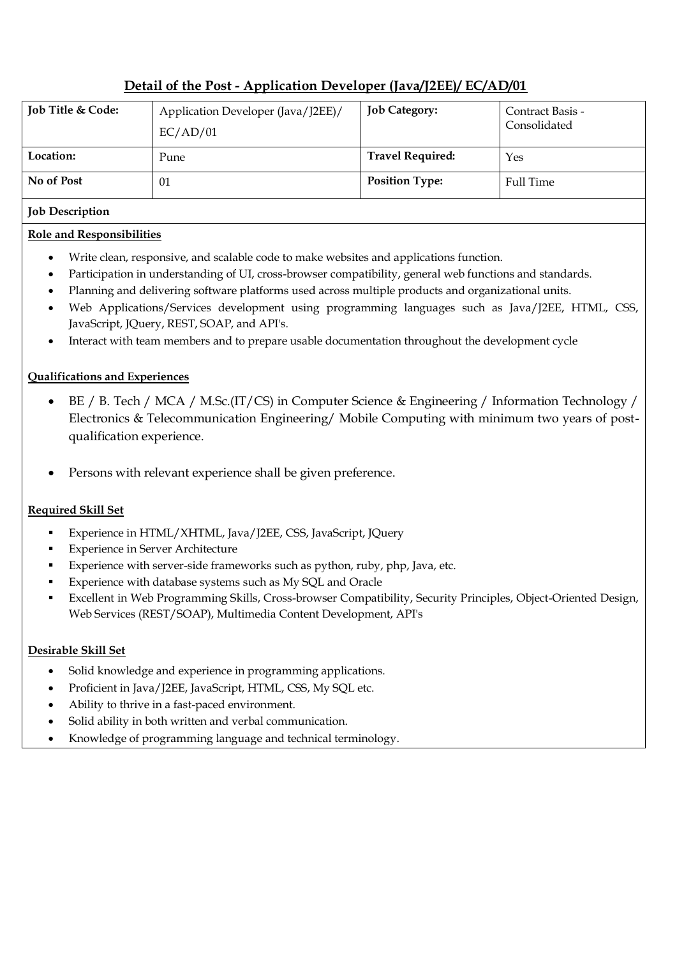# **Detail of the Post - Application Developer (Java/J2EE)/ EC/AD/01**

| Job Title & Code: | Application Developer (Java/J2EE)/<br>EC/AD/01 | <b>Job Category:</b>    | Contract Basis -<br>Consolidated |
|-------------------|------------------------------------------------|-------------------------|----------------------------------|
| Location:         | Pune                                           | <b>Travel Required:</b> | Yes                              |
| No of Post        | 01                                             | <b>Position Type:</b>   | <b>Full Time</b>                 |

#### **Job Description**

#### **Role and Responsibilities**

- Write clean, responsive, and scalable code to make websites and applications function.
- Participation in understanding of UI, cross-browser compatibility, general web functions and standards.
- Planning and delivering software platforms used across multiple products and organizational units.
- Web Applications/Services development using programming languages such as Java/J2EE, HTML, CSS, JavaScript, JQuery, REST, SOAP, and API's.
- Interact with team members and to prepare usable documentation throughout the development cycle

### **Qualifications and Experiences**

- BE / B. Tech / MCA / M.Sc.(IT/CS) in Computer Science & Engineering / Information Technology / Electronics & Telecommunication Engineering/ Mobile Computing with minimum two years of postqualification experience.
- Persons with relevant experience shall be given preference.

#### **Required Skill Set**

- Experience in HTML/XHTML, Java/J2EE, CSS, JavaScript, JQuery
- Experience in Server Architecture
- Experience with server-side frameworks such as python, ruby, php, Java, etc.
- **Experience with database systems such as My SQL and Oracle**
- Excellent in Web Programming Skills, Cross-browser Compatibility, Security Principles, Object-Oriented Design, Web Services (REST/SOAP), Multimedia Content Development, API's

#### **Desirable Skill Set**

- Solid knowledge and experience in programming applications.
- Proficient in Java/J2EE, JavaScript, HTML, CSS, My SQL etc.
- Ability to thrive in a fast-paced environment.
- Solid ability in both written and verbal communication.
- Knowledge of programming language and technical terminology.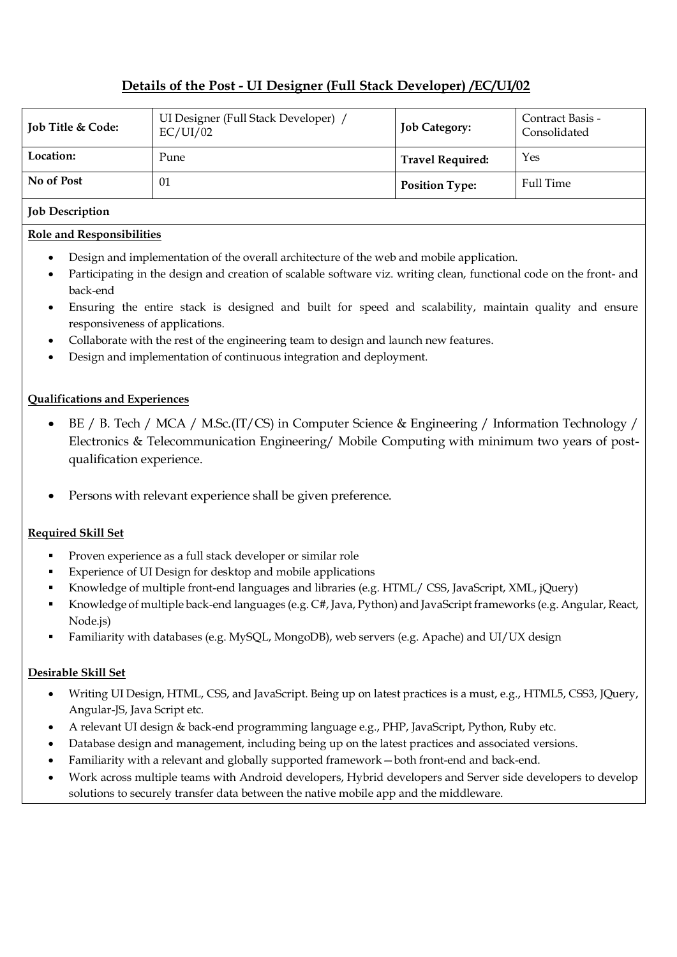## **Details of the Post - UI Designer (Full Stack Developer) /EC/UI/02**

| <b>Job Title &amp; Code:</b> | UI Designer (Full Stack Developer) /<br>EC/UI/02 | <b>Job Category:</b>    | Contract Basis -<br>Consolidated |
|------------------------------|--------------------------------------------------|-------------------------|----------------------------------|
| Location:                    | Pune                                             | <b>Travel Required:</b> | Yes                              |
| No of Post                   | 01                                               | <b>Position Type:</b>   | Full Time                        |

#### **Job Description**

### **Role and Responsibilities**

- Design and implementation of the overall architecture of the web and mobile application.
- Participating in the design and creation of scalable software viz. writing clean, functional code on the front- and back-end
- Ensuring the entire stack is designed and built for speed and scalability, maintain quality and ensure responsiveness of applications.
- Collaborate with the rest of the engineering team to design and launch new features.
- Design and implementation of continuous integration and deployment.

### **Qualifications and Experiences**

- BE / B. Tech / MCA / M.Sc.(IT/CS) in Computer Science & Engineering / Information Technology / Electronics & Telecommunication Engineering/ Mobile Computing with minimum two years of postqualification experience.
- Persons with relevant experience shall be given preference.

#### **Required Skill Set**

- **Proven experience as a full stack developer or similar role**
- Experience of UI Design for desktop and mobile applications
- Knowledge of multiple front-end languages and libraries (e.g. HTML/ CSS, JavaScript, XML, jQuery)
- Knowledge of multiple back-end languages (e.g. C#, Java, Python) and JavaScript frameworks (e.g. Angular, React, Node.js)
- Familiarity with databases (e.g. MySQL, MongoDB), web servers (e.g. Apache) and UI/UX design

#### **Desirable Skill Set**

- Writing UI Design, HTML, CSS, and JavaScript. Being up on latest practices is a must, e.g., HTML5, CSS3, JQuery, Angular-JS, Java Script etc.
- A relevant UI design & back-end programming language e.g., PHP, JavaScript, Python, Ruby etc.
- Database design and management, including being up on the latest practices and associated versions.
- Familiarity with a relevant and globally supported framework—both front-end and back-end.
- Work across multiple teams with Android developers, Hybrid developers and Server side developers to develop solutions to securely transfer data between the native mobile app and the middleware.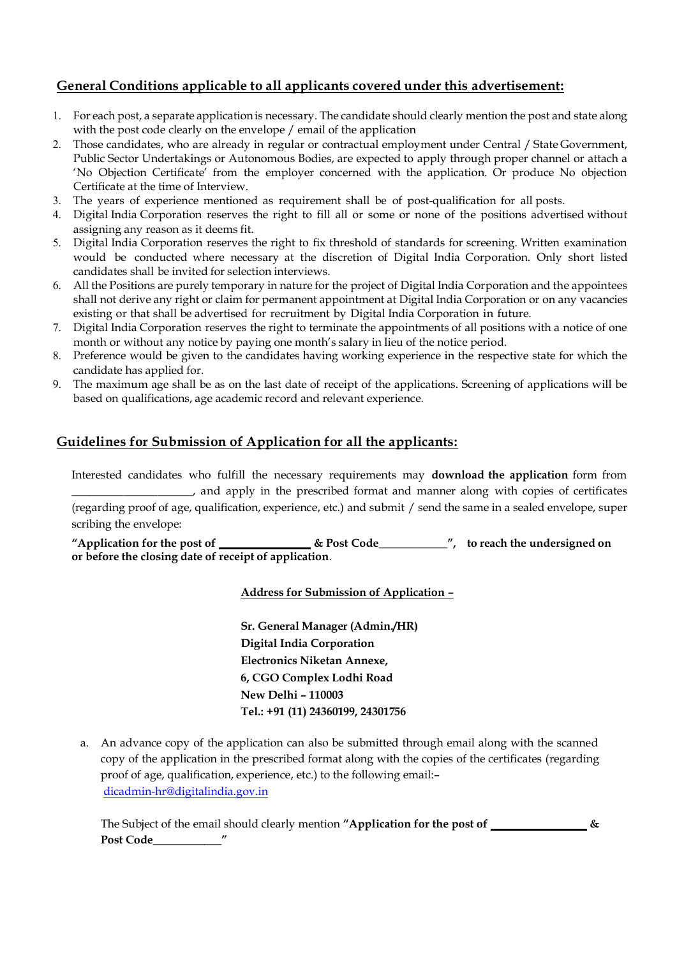## **General Conditions applicable to all applicants covered under this advertisement:**

- 1. For each post, a separate applicationis necessary. The candidate should clearly mention the post and state along with the post code clearly on the envelope / email of the application
- 2. Those candidates, who are already in regular or contractual employment under Central / State Government, Public Sector Undertakings or Autonomous Bodies, are expected to apply through proper channel or attach a 'No Objection Certificate' from the employer concerned with the application. Or produce No objection Certificate at the time of Interview.
- 3. The years of experience mentioned as requirement shall be of post-qualification for all posts.
- 4. Digital India Corporation reserves the right to fill all or some or none of the positions advertised without assigning any reason as it deems fit.
- 5. Digital India Corporation reserves the right to fix threshold of standards for screening. Written examination would be conducted where necessary at the discretion of Digital India Corporation. Only short listed candidates shall be invited for selection interviews.
- 6. All the Positions are purely temporary in nature for the project of Digital India Corporation and the appointees shall not derive any right or claim for permanent appointment at Digital India Corporation or on any vacancies existing or that shall be advertised for recruitment by Digital India Corporation in future.
- 7. Digital India Corporation reserves the right to terminate the appointments of all positions with a notice of one month or without any notice by paying one month's salary in lieu of the notice period.
- 8. Preference would be given to the candidates having working experience in the respective state for which the candidate has applied for.
- 9. The maximum age shall be as on the last date of receipt of the applications. Screening of applications will be based on qualifications, age academic record and relevant experience.

## **Guidelines for Submission of Application for all the applicants:**

Interested candidates who fulfill the necessary requirements may **download the application** form from \_\_\_\_\_\_\_\_\_\_\_\_\_\_\_\_\_\_\_\_\_, and apply in the prescribed format and manner along with copies of certificates (regarding proof of age, qualification, experience, etc.) and submit / send the same in a sealed envelope, super scribing the envelope:

**"Application for the post of & Post Code\_\_\_\_\_\_\_\_\_\_\_\_", to reach the undersigned on or before the closing date of receipt of application**.

#### **Address for Submission of Application –**

**Sr. General Manager (Admin./HR) Digital India Corporation Electronics Niketan Annexe, 6, CGO Complex Lodhi Road New Delhi – 110003 Tel.: +91 (11) 24360199, 24301756**

a. An advance copy of the application can also be submitted through email along with the scanned copy of the application in the prescribed format along with the copies of the certificates (regarding proof of age, qualification, experience, etc.) to the following email:– [dicadmin-hr@digitalindia.gov.in](mailto:dicadmin-hr@digitalindia.gov.in)

The Subject of the email should clearly mention "Application for the post of  $\frac{1}{\sqrt{2\pi}}$ **Post Code\_\_\_\_\_\_\_\_\_\_\_\_"**